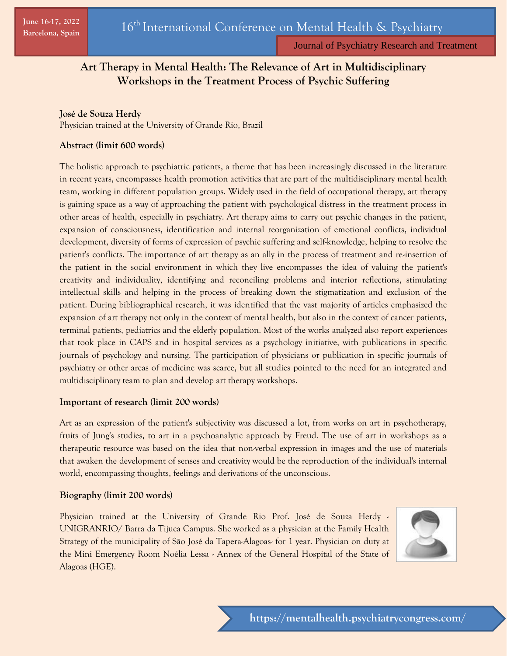Journal of Psychiatry Research and Treatment

# **Art Therapy in Mental Health: The Relevance of Art in Multidisciplinary Workshops in the Treatment Process of Psychic Suffering**

## **José de Souza Herdy**

Physician trained at the University of Grande Rio, Brazil

## **Abstract (limit 600 words)**

The holistic approach to psychiatric patients, a theme that has been increasingly discussed in the literature in recent years, encompasses health promotion activities that are part of the multidisciplinary mental health team, working in different population groups. Widely used in the field of occupational therapy, art therapy is gaining space as a way of approaching the patient with psychological distress in the treatment process in other areas of health, especially in psychiatry. Art therapy aims to carry out psychic changes in the patient, expansion of consciousness, identification and internal reorganization of emotional conflicts, individual development, diversity of forms of expression of psychic suffering and self-knowledge, helping to resolve the patient's conflicts. The importance of art therapy as an ally in the process of treatment and re-insertion of the patient in the social environment in which they live encompasses the idea of valuing the patient's creativity and individuality, identifying and reconciling problems and interior reflections, stimulating intellectual skills and helping in the process of breaking down the stigmatization and exclusion of the patient. During bibliographical research, it was identified that the vast majority of articles emphasized the expansion of art therapy not only in the context of mental health, but also in the context of cancer patients, terminal patients, pediatrics and the elderly population. Most of the works analyzed also report experiences that took place in CAPS and in hospital services as a psychology initiative, with publications in specific journals of psychology and nursing. The participation of physicians or publication in specific journals of psychiatry or other areas of medicine was scarce, but all studies pointed to the need for an integrated and multidisciplinary team to plan and develop art therapy workshops.

## **Important of research (limit 200 words)**

Art as an expression of the patient's subjectivity was discussed a lot, from works on art in psychotherapy, fruits of Jung's studies, to art in a psychoanalytic approach by Freud. The use of art in workshops as a therapeutic resource was based on the idea that non-verbal expression in images and the use of materials that awaken the development of senses and creativity would be the reproduction of the individual's internal world, encompassing thoughts, feelings and derivations of the unconscious.

## **Biography (limit 200 words)**

Physician trained at the University of Grande Rio Prof. José de Souza Herdy - UNIGRANRIO/ Barra da Tijuca Campus. She worked as a physician at the Family Health Strategy of the municipality of São José da Tapera-Alagoas- for 1 year. Physician on duty at the Mini Emergency Room Noélia Lessa - Annex of the General Hospital of the State of Alagoas (HGE).